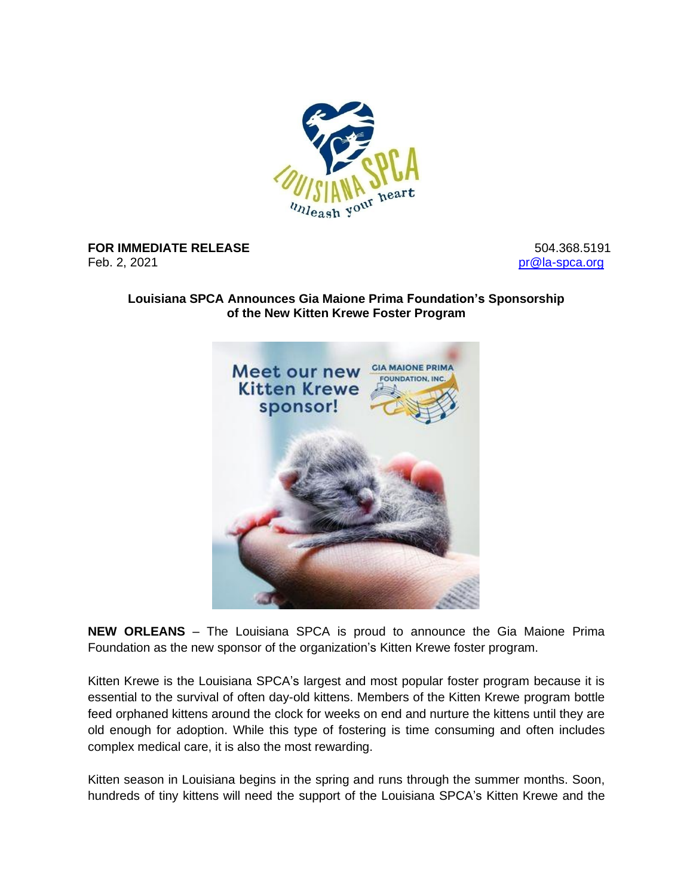

**FOR IMMEDIATE RELEASE** Feb. 2, 2021

504.368.5191 [pr@la-spca.org](mailto:pr@la-spca.org)

## **Louisiana SPCA Announces Gia Maione Prima Foundation's Sponsorship of the New Kitten Krewe Foster Program**



**NEW ORLEANS** – The Louisiana SPCA is proud to announce the Gia Maione Prima Foundation as the new sponsor of the organization's Kitten Krewe foster program.

Kitten Krewe is the Louisiana SPCA's largest and most popular foster program because it is essential to the survival of often day-old kittens. Members of the Kitten Krewe program bottle feed orphaned kittens around the clock for weeks on end and nurture the kittens until they are old enough for adoption. While this type of fostering is time consuming and often includes complex medical care, it is also the most rewarding.

Kitten season in Louisiana begins in the spring and runs through the summer months. Soon, hundreds of tiny kittens will need the support of the Louisiana SPCA's Kitten Krewe and the